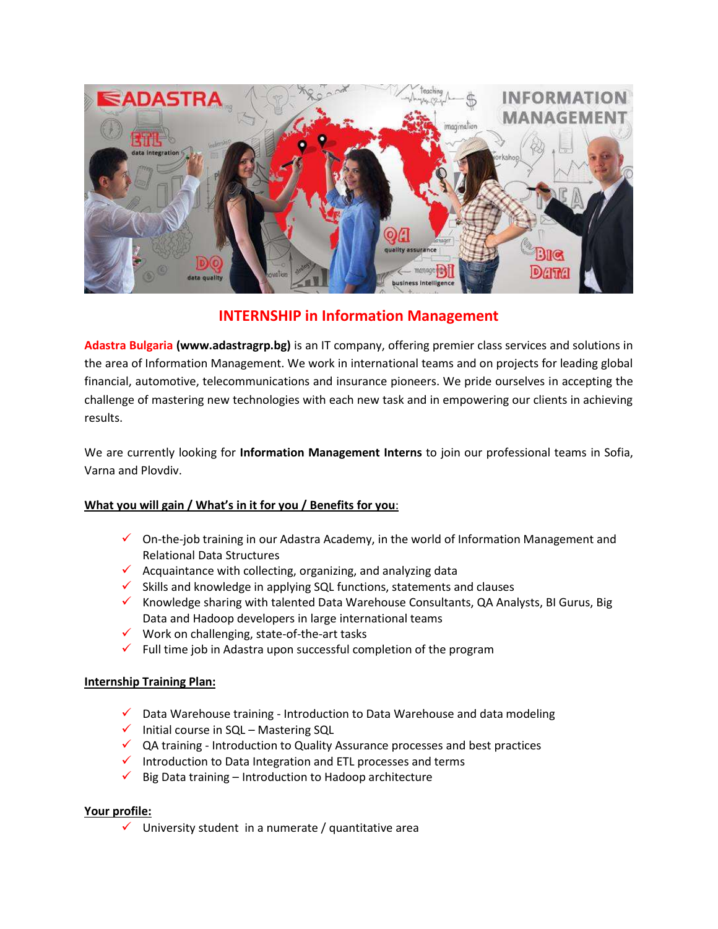

## **INTERNSHIP in Information Management**

**Adastra Bulgaria (www.adastragrp.bg)** is an IT company, offering premier class services and solutions in the area of Information Management. We work in international teams and on projects for leading global financial, automotive, telecommunications and insurance pioneers. We pride ourselves in accepting the challenge of mastering new technologies with each new task and in empowering our clients in achieving results.

We are currently looking for **Information Management Interns** to join our professional teams in Sofia, Varna and Plovdiv.

## **What you will gain / What's in it for you / Benefits for you**:

- $\checkmark$  On-the-job training in our Adastra Academy, in the world of Information Management and Relational Data Structures
- $\checkmark$  Acquaintance with collecting, organizing, and analyzing data
- $\checkmark$  Skills and knowledge in applying SQL functions, statements and clauses
- Knowledge sharing with talented Data Warehouse Consultants, QA Analysts, BI Gurus, Big Data and Hadoop developers in large international teams
- $\checkmark$  Work on challenging, state-of-the-art tasks
- $\checkmark$  Full time job in Adastra upon successful completion of the program

## **Internship Training Plan:**

- $\checkmark$  Data Warehouse training Introduction to Data Warehouse and data modeling
- $\checkmark$  Initial course in SQL Mastering SQL
- $\checkmark$  QA training Introduction to Quality Assurance processes and best practices
- Introduction to Data Integration and ETL processes and terms
- $\checkmark$  Big Data training Introduction to Hadoop architecture

## **Your profile:**

 $\checkmark$  University student in a numerate / quantitative area